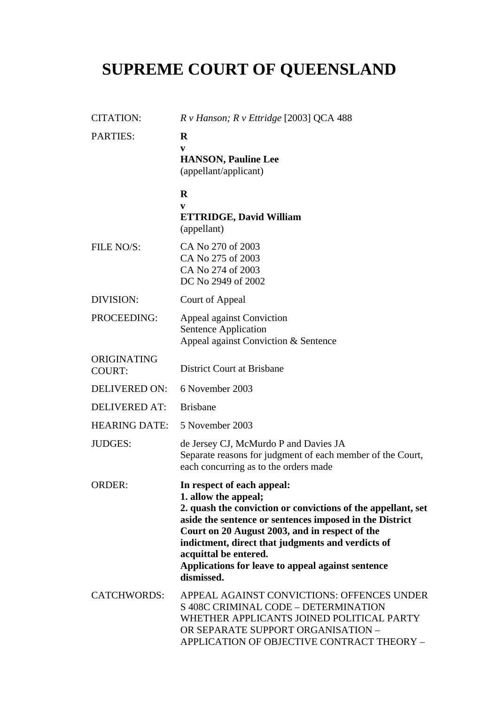# **SUPREME COURT OF QUEENSLAND**

| <b>CITATION:</b>             | R v Hanson; R v Ettridge [2003] QCA 488                                                                                                                                                                                                                                                                                                                                          |
|------------------------------|----------------------------------------------------------------------------------------------------------------------------------------------------------------------------------------------------------------------------------------------------------------------------------------------------------------------------------------------------------------------------------|
| <b>PARTIES:</b>              | $\bf{R}$<br>V<br><b>HANSON, Pauline Lee</b><br>(appellant/applicant)                                                                                                                                                                                                                                                                                                             |
|                              | $\bf{R}$<br>V<br><b>ETTRIDGE, David William</b><br>(appellant)                                                                                                                                                                                                                                                                                                                   |
| FILE NO/S:                   | CA No 270 of 2003<br>CA No 275 of 2003<br>CA No 274 of 2003<br>DC No 2949 of 2002                                                                                                                                                                                                                                                                                                |
| DIVISION:                    | Court of Appeal                                                                                                                                                                                                                                                                                                                                                                  |
| PROCEEDING:                  | Appeal against Conviction<br>Sentence Application<br>Appeal against Conviction & Sentence                                                                                                                                                                                                                                                                                        |
| ORIGINATING<br><b>COURT:</b> | <b>District Court at Brisbane</b>                                                                                                                                                                                                                                                                                                                                                |
| <b>DELIVERED ON:</b>         | 6 November 2003                                                                                                                                                                                                                                                                                                                                                                  |
| <b>DELIVERED AT:</b>         | <b>Brisbane</b>                                                                                                                                                                                                                                                                                                                                                                  |
| <b>HEARING DATE:</b>         | 5 November 2003                                                                                                                                                                                                                                                                                                                                                                  |
| <b>JUDGES:</b>               | de Jersey CJ, McMurdo P and Davies JA<br>Separate reasons for judgment of each member of the Court,<br>each concurring as to the orders made                                                                                                                                                                                                                                     |
| <b>ORDER:</b>                | In respect of each appeal:<br>1. allow the appeal;<br>2. quash the conviction or convictions of the appellant, set<br>aside the sentence or sentences imposed in the District<br>Court on 20 August 2003, and in respect of the<br>indictment, direct that judgments and verdicts of<br>acquittal be entered.<br>Applications for leave to appeal against sentence<br>dismissed. |
| <b>CATCHWORDS:</b>           | APPEAL AGAINST CONVICTIONS: OFFENCES UNDER<br>S 408C CRIMINAL CODE - DETERMINATION<br>WHETHER APPLICANTS JOINED POLITICAL PARTY<br>OR SEPARATE SUPPORT ORGANISATION -<br>APPLICATION OF OBJECTIVE CONTRACT THEORY -                                                                                                                                                              |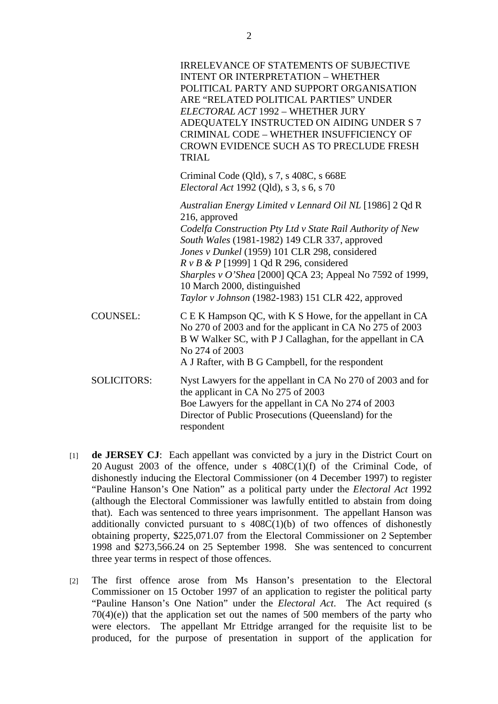|                    | <b>IRRELEVANCE OF STATEMENTS OF SUBJECTIVE</b><br><b>INTENT OR INTERPRETATION - WHETHER</b><br>POLITICAL PARTY AND SUPPORT ORGANISATION<br>ARE "RELATED POLITICAL PARTIES" UNDER<br>ELECTORAL ACT 1992 - WHETHER JURY<br>ADEQUATELY INSTRUCTED ON AIDING UNDER S 7<br>CRIMINAL CODE - WHETHER INSUFFICIENCY OF<br>CROWN EVIDENCE SUCH AS TO PRECLUDE FRESH<br><b>TRIAL</b>                                                                   |
|--------------------|----------------------------------------------------------------------------------------------------------------------------------------------------------------------------------------------------------------------------------------------------------------------------------------------------------------------------------------------------------------------------------------------------------------------------------------------|
|                    | Criminal Code (Qld), s 7, s 408C, s 668E<br><i>Electoral Act 1992 (Qld), s 3, s 6, s 70</i>                                                                                                                                                                                                                                                                                                                                                  |
|                    | Australian Energy Limited v Lennard Oil NL [1986] 2 Qd R<br>216, approved<br>Codelfa Construction Pty Ltd v State Rail Authority of New<br>South Wales (1981-1982) 149 CLR 337, approved<br>Jones v Dunkel (1959) 101 CLR 298, considered<br>$R \vee B \& P$ [1999] 1 Qd R 296, considered<br>Sharples v O'Shea [2000] QCA 23; Appeal No 7592 of 1999,<br>10 March 2000, distinguished<br>Taylor v Johnson (1982-1983) 151 CLR 422, approved |
| <b>COUNSEL:</b>    | C E K Hampson QC, with K S Howe, for the appellant in CA<br>No 270 of 2003 and for the applicant in CA No 275 of 2003<br>B W Walker SC, with P J Callaghan, for the appellant in CA<br>No 274 of 2003<br>A J Rafter, with B G Campbell, for the respondent                                                                                                                                                                                   |
| <b>SOLICITORS:</b> | Nyst Lawyers for the appellant in CA No 270 of 2003 and for<br>the applicant in CA No 275 of 2003<br>Boe Lawyers for the appellant in CA No 274 of 2003<br>Director of Public Prosecutions (Queensland) for the<br>respondent                                                                                                                                                                                                                |

- [1] **de JERSEY CJ**: Each appellant was convicted by a jury in the District Court on 20 August 2003 of the offence, under s  $408C(1)(f)$  of the Criminal Code, of dishonestly inducing the Electoral Commissioner (on 4 December 1997) to register "Pauline Hanson's One Nation" as a political party under the *Electoral Act* 1992 (although the Electoral Commissioner was lawfully entitled to abstain from doing that). Each was sentenced to three years imprisonment. The appellant Hanson was additionally convicted pursuant to s  $408C(1)(b)$  of two offences of dishonestly obtaining property, \$225,071.07 from the Electoral Commissioner on 2 September 1998 and \$273,566.24 on 25 September 1998. She was sentenced to concurrent three year terms in respect of those offences.
- [2] The first offence arose from Ms Hanson's presentation to the Electoral Commissioner on 15 October 1997 of an application to register the political party "Pauline Hanson's One Nation" under the *Electoral Act*. The Act required (s  $70(4)(e)$ ) that the application set out the names of 500 members of the party who were electors. The appellant Mr Ettridge arranged for the requisite list to be produced, for the purpose of presentation in support of the application for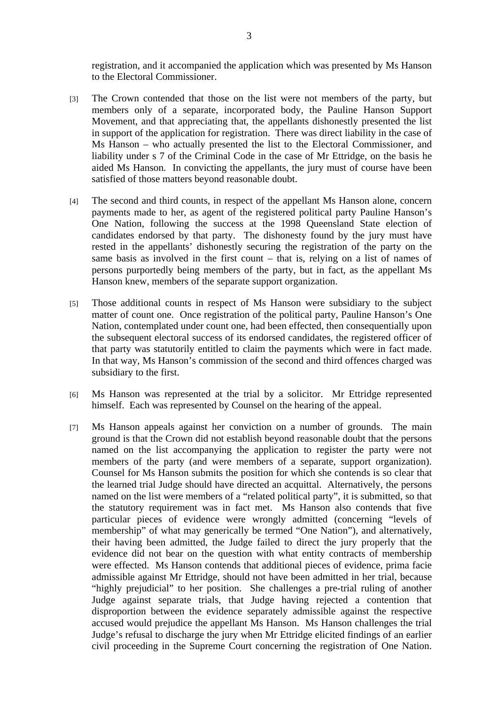registration, and it accompanied the application which was presented by Ms Hanson to the Electoral Commissioner.

- [3] The Crown contended that those on the list were not members of the party, but members only of a separate, incorporated body, the Pauline Hanson Support Movement, and that appreciating that, the appellants dishonestly presented the list in support of the application for registration. There was direct liability in the case of Ms Hanson – who actually presented the list to the Electoral Commissioner, and liability under s 7 of the Criminal Code in the case of Mr Ettridge, on the basis he aided Ms Hanson. In convicting the appellants, the jury must of course have been satisfied of those matters beyond reasonable doubt.
- [4] The second and third counts, in respect of the appellant Ms Hanson alone, concern payments made to her, as agent of the registered political party Pauline Hanson's One Nation, following the success at the 1998 Queensland State election of candidates endorsed by that party. The dishonesty found by the jury must have rested in the appellants' dishonestly securing the registration of the party on the same basis as involved in the first count – that is, relying on a list of names of persons purportedly being members of the party, but in fact, as the appellant Ms Hanson knew, members of the separate support organization.
- [5] Those additional counts in respect of Ms Hanson were subsidiary to the subject matter of count one. Once registration of the political party, Pauline Hanson's One Nation, contemplated under count one, had been effected, then consequentially upon the subsequent electoral success of its endorsed candidates, the registered officer of that party was statutorily entitled to claim the payments which were in fact made. In that way, Ms Hanson's commission of the second and third offences charged was subsidiary to the first.
- [6] Ms Hanson was represented at the trial by a solicitor. Mr Ettridge represented himself. Each was represented by Counsel on the hearing of the appeal.
- [7] Ms Hanson appeals against her conviction on a number of grounds. The main ground is that the Crown did not establish beyond reasonable doubt that the persons named on the list accompanying the application to register the party were not members of the party (and were members of a separate, support organization). Counsel for Ms Hanson submits the position for which she contends is so clear that the learned trial Judge should have directed an acquittal. Alternatively, the persons named on the list were members of a "related political party", it is submitted, so that the statutory requirement was in fact met. Ms Hanson also contends that five particular pieces of evidence were wrongly admitted (concerning "levels of membership" of what may generically be termed "One Nation"), and alternatively, their having been admitted, the Judge failed to direct the jury properly that the evidence did not bear on the question with what entity contracts of membership were effected. Ms Hanson contends that additional pieces of evidence, prima facie admissible against Mr Ettridge, should not have been admitted in her trial, because "highly prejudicial" to her position. She challenges a pre-trial ruling of another Judge against separate trials, that Judge having rejected a contention that disproportion between the evidence separately admissible against the respective accused would prejudice the appellant Ms Hanson. Ms Hanson challenges the trial Judge's refusal to discharge the jury when Mr Ettridge elicited findings of an earlier civil proceeding in the Supreme Court concerning the registration of One Nation.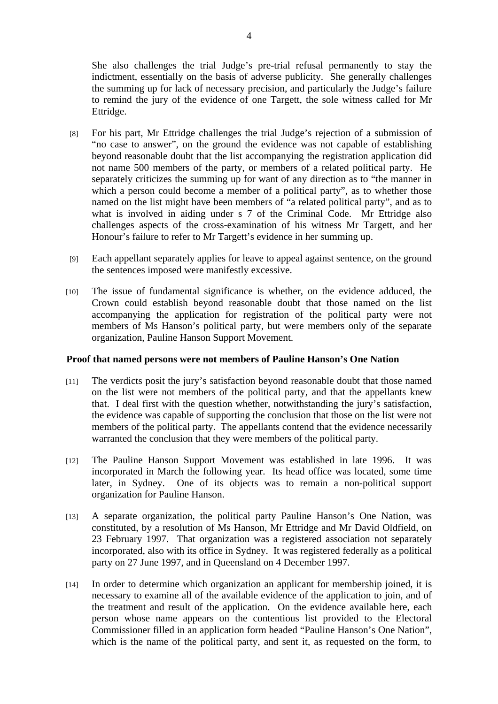She also challenges the trial Judge's pre-trial refusal permanently to stay the indictment, essentially on the basis of adverse publicity. She generally challenges the summing up for lack of necessary precision, and particularly the Judge's failure to remind the jury of the evidence of one Targett, the sole witness called for Mr Ettridge.

- [8] For his part, Mr Ettridge challenges the trial Judge's rejection of a submission of "no case to answer", on the ground the evidence was not capable of establishing beyond reasonable doubt that the list accompanying the registration application did not name 500 members of the party, or members of a related political party. He separately criticizes the summing up for want of any direction as to "the manner in which a person could become a member of a political party", as to whether those named on the list might have been members of "a related political party", and as to what is involved in aiding under s 7 of the Criminal Code. Mr Ettridge also challenges aspects of the cross-examination of his witness Mr Targett, and her Honour's failure to refer to Mr Targett's evidence in her summing up.
- [9] Each appellant separately applies for leave to appeal against sentence, on the ground the sentences imposed were manifestly excessive.
- [10] The issue of fundamental significance is whether, on the evidence adduced, the Crown could establish beyond reasonable doubt that those named on the list accompanying the application for registration of the political party were not members of Ms Hanson's political party, but were members only of the separate organization, Pauline Hanson Support Movement.

#### **Proof that named persons were not members of Pauline Hanson's One Nation**

- [11] The verdicts posit the jury's satisfaction beyond reasonable doubt that those named on the list were not members of the political party, and that the appellants knew that. I deal first with the question whether, notwithstanding the jury's satisfaction, the evidence was capable of supporting the conclusion that those on the list were not members of the political party. The appellants contend that the evidence necessarily warranted the conclusion that they were members of the political party.
- [12] The Pauline Hanson Support Movement was established in late 1996. It was incorporated in March the following year. Its head office was located, some time later, in Sydney. One of its objects was to remain a non-political support organization for Pauline Hanson.
- [13] A separate organization, the political party Pauline Hanson's One Nation, was constituted, by a resolution of Ms Hanson, Mr Ettridge and Mr David Oldfield, on 23 February 1997. That organization was a registered association not separately incorporated, also with its office in Sydney. It was registered federally as a political party on 27 June 1997, and in Queensland on 4 December 1997.
- [14] In order to determine which organization an applicant for membership joined, it is necessary to examine all of the available evidence of the application to join, and of the treatment and result of the application. On the evidence available here, each person whose name appears on the contentious list provided to the Electoral Commissioner filled in an application form headed "Pauline Hanson's One Nation", which is the name of the political party, and sent it, as requested on the form, to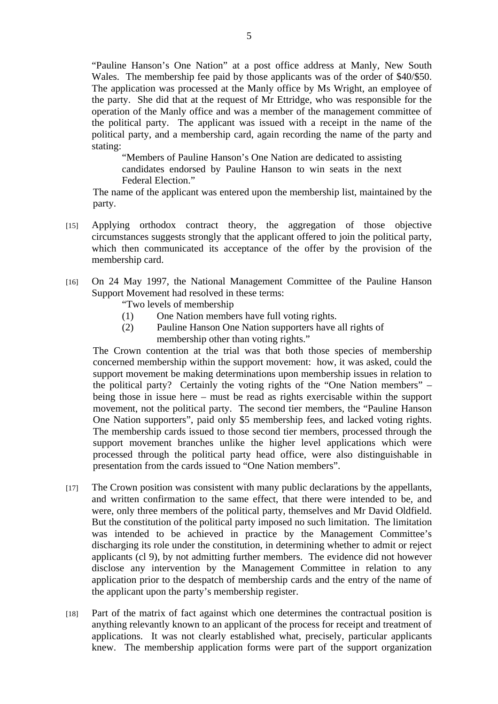"Pauline Hanson's One Nation" at a post office address at Manly, New South Wales. The membership fee paid by those applicants was of the order of \$40/\$50. The application was processed at the Manly office by Ms Wright, an employee of the party. She did that at the request of Mr Ettridge, who was responsible for the operation of the Manly office and was a member of the management committee of the political party. The applicant was issued with a receipt in the name of the political party, and a membership card, again recording the name of the party and stating:

"Members of Pauline Hanson's One Nation are dedicated to assisting candidates endorsed by Pauline Hanson to win seats in the next Federal Election."

The name of the applicant was entered upon the membership list, maintained by the party.

- [15] Applying orthodox contract theory, the aggregation of those objective circumstances suggests strongly that the applicant offered to join the political party, which then communicated its acceptance of the offer by the provision of the membership card.
- [16] On 24 May 1997, the National Management Committee of the Pauline Hanson Support Movement had resolved in these terms:
	- "Two levels of membership
	- (1) One Nation members have full voting rights.
	- (2) Pauline Hanson One Nation supporters have all rights of membership other than voting rights."

The Crown contention at the trial was that both those species of membership concerned membership within the support movement: how, it was asked, could the support movement be making determinations upon membership issues in relation to the political party? Certainly the voting rights of the "One Nation members" – being those in issue here – must be read as rights exercisable within the support movement, not the political party. The second tier members, the "Pauline Hanson One Nation supporters", paid only \$5 membership fees, and lacked voting rights. The membership cards issued to those second tier members, processed through the support movement branches unlike the higher level applications which were processed through the political party head office, were also distinguishable in presentation from the cards issued to "One Nation members".

- [17] The Crown position was consistent with many public declarations by the appellants, and written confirmation to the same effect, that there were intended to be, and were, only three members of the political party, themselves and Mr David Oldfield. But the constitution of the political party imposed no such limitation. The limitation was intended to be achieved in practice by the Management Committee's discharging its role under the constitution, in determining whether to admit or reject applicants (cl 9), by not admitting further members. The evidence did not however disclose any intervention by the Management Committee in relation to any application prior to the despatch of membership cards and the entry of the name of the applicant upon the party's membership register.
- [18] Part of the matrix of fact against which one determines the contractual position is anything relevantly known to an applicant of the process for receipt and treatment of applications. It was not clearly established what, precisely, particular applicants knew. The membership application forms were part of the support organization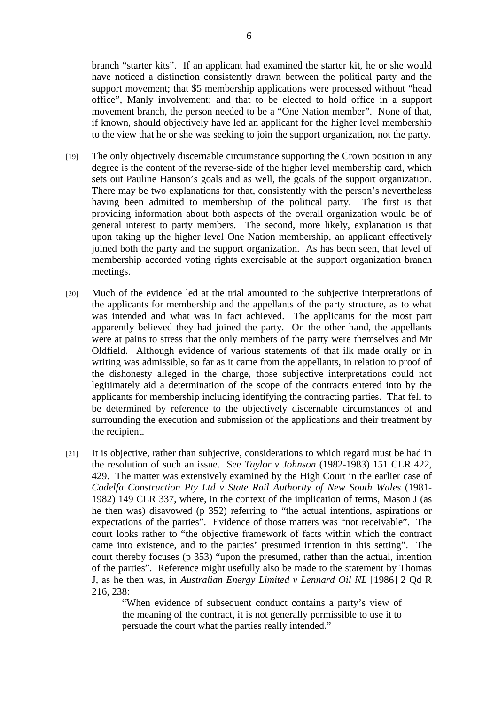branch "starter kits". If an applicant had examined the starter kit, he or she would have noticed a distinction consistently drawn between the political party and the support movement; that \$5 membership applications were processed without "head office", Manly involvement; and that to be elected to hold office in a support movement branch, the person needed to be a "One Nation member". None of that, if known, should objectively have led an applicant for the higher level membership to the view that he or she was seeking to join the support organization, not the party.

- [19] The only objectively discernable circumstance supporting the Crown position in any degree is the content of the reverse-side of the higher level membership card, which sets out Pauline Hanson's goals and as well, the goals of the support organization. There may be two explanations for that, consistently with the person's nevertheless having been admitted to membership of the political party. The first is that providing information about both aspects of the overall organization would be of general interest to party members. The second, more likely, explanation is that upon taking up the higher level One Nation membership, an applicant effectively joined both the party and the support organization. As has been seen, that level of membership accorded voting rights exercisable at the support organization branch meetings.
- [20] Much of the evidence led at the trial amounted to the subjective interpretations of the applicants for membership and the appellants of the party structure, as to what was intended and what was in fact achieved. The applicants for the most part apparently believed they had joined the party. On the other hand, the appellants were at pains to stress that the only members of the party were themselves and Mr Oldfield. Although evidence of various statements of that ilk made orally or in writing was admissible, so far as it came from the appellants, in relation to proof of the dishonesty alleged in the charge, those subjective interpretations could not legitimately aid a determination of the scope of the contracts entered into by the applicants for membership including identifying the contracting parties. That fell to be determined by reference to the objectively discernable circumstances of and surrounding the execution and submission of the applications and their treatment by the recipient.
- [21] It is objective, rather than subjective, considerations to which regard must be had in the resolution of such an issue. See *Taylor v Johnson* (1982-1983) 151 CLR 422, 429. The matter was extensively examined by the High Court in the earlier case of *Codelfa Construction Pty Ltd v State Rail Authority of New South Wales* (1981- 1982) 149 CLR 337, where, in the context of the implication of terms, Mason J (as he then was) disavowed (p 352) referring to "the actual intentions, aspirations or expectations of the parties". Evidence of those matters was "not receivable". The court looks rather to "the objective framework of facts within which the contract came into existence, and to the parties' presumed intention in this setting". The court thereby focuses (p 353) "upon the presumed, rather than the actual, intention of the parties". Reference might usefully also be made to the statement by Thomas J, as he then was, in *Australian Energy Limited v Lennard Oil NL* [1986] 2 Qd R 216, 238:

"When evidence of subsequent conduct contains a party's view of the meaning of the contract, it is not generally permissible to use it to persuade the court what the parties really intended."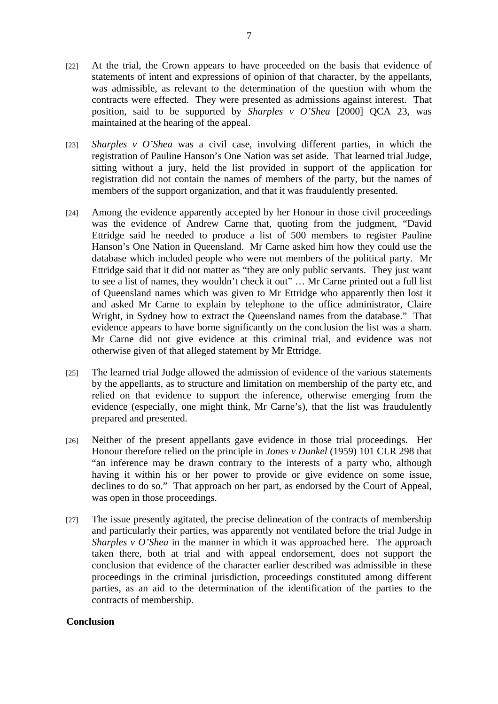- [22] At the trial, the Crown appears to have proceeded on the basis that evidence of statements of intent and expressions of opinion of that character, by the appellants, was admissible, as relevant to the determination of the question with whom the contracts were effected. They were presented as admissions against interest. That position, said to be supported by *Sharples v O'Shea* [2000] QCA 23, was maintained at the hearing of the appeal.
- [23] *Sharples v O'Shea* was a civil case, involving different parties, in which the registration of Pauline Hanson's One Nation was set aside. That learned trial Judge, sitting without a jury, held the list provided in support of the application for registration did not contain the names of members of the party, but the names of members of the support organization, and that it was fraudulently presented.
- [24] Among the evidence apparently accepted by her Honour in those civil proceedings was the evidence of Andrew Carne that, quoting from the judgment, "David Ettridge said he needed to produce a list of 500 members to register Pauline Hanson's One Nation in Queensland. Mr Carne asked him how they could use the database which included people who were not members of the political party. Mr Ettridge said that it did not matter as "they are only public servants. They just want to see a list of names, they wouldn't check it out" … Mr Carne printed out a full list of Queensland names which was given to Mr Ettridge who apparently then lost it and asked Mr Carne to explain by telephone to the office administrator, Claire Wright, in Sydney how to extract the Queensland names from the database." That evidence appears to have borne significantly on the conclusion the list was a sham. Mr Carne did not give evidence at this criminal trial, and evidence was not otherwise given of that alleged statement by Mr Ettridge.
- [25] The learned trial Judge allowed the admission of evidence of the various statements by the appellants, as to structure and limitation on membership of the party etc, and relied on that evidence to support the inference, otherwise emerging from the evidence (especially, one might think, Mr Carne's), that the list was fraudulently prepared and presented.
- [26] Neither of the present appellants gave evidence in those trial proceedings. Her Honour therefore relied on the principle in *Jones v Dunkel* (1959) 101 CLR 298 that "an inference may be drawn contrary to the interests of a party who, although having it within his or her power to provide or give evidence on some issue, declines to do so." That approach on her part, as endorsed by the Court of Appeal, was open in those proceedings.
- [27] The issue presently agitated, the precise delineation of the contracts of membership and particularly their parties, was apparently not ventilated before the trial Judge in *Sharples v O'Shea* in the manner in which it was approached here. The approach taken there, both at trial and with appeal endorsement, does not support the conclusion that evidence of the character earlier described was admissible in these proceedings in the criminal jurisdiction, proceedings constituted among different parties, as an aid to the determination of the identification of the parties to the contracts of membership.

### **Conclusion**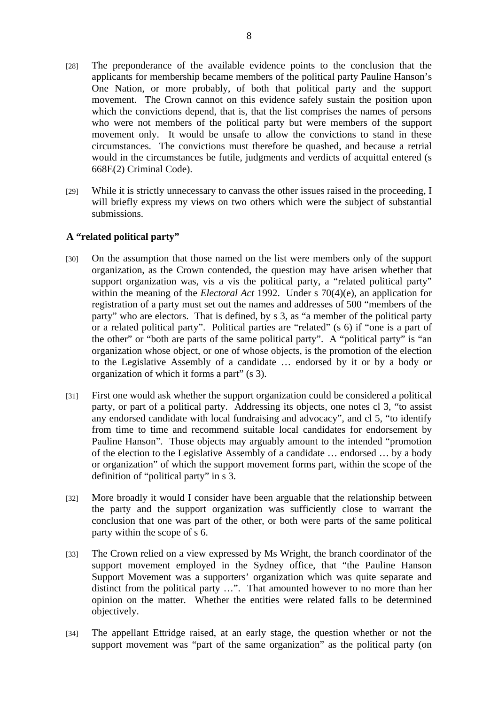- [28] The preponderance of the available evidence points to the conclusion that the applicants for membership became members of the political party Pauline Hanson's One Nation, or more probably, of both that political party and the support movement. The Crown cannot on this evidence safely sustain the position upon which the convictions depend, that is, that the list comprises the names of persons who were not members of the political party but were members of the support movement only. It would be unsafe to allow the convictions to stand in these circumstances. The convictions must therefore be quashed, and because a retrial would in the circumstances be futile, judgments and verdicts of acquittal entered (s 668E(2) Criminal Code).
- [29] While it is strictly unnecessary to canvass the other issues raised in the proceeding, I will briefly express my views on two others which were the subject of substantial submissions.

### **A "related political party"**

- [30] On the assumption that those named on the list were members only of the support organization, as the Crown contended, the question may have arisen whether that support organization was, vis a vis the political party, a "related political party" within the meaning of the *Electoral Act* 1992. Under s 70(4)(e), an application for registration of a party must set out the names and addresses of 500 "members of the party" who are electors. That is defined, by s 3, as "a member of the political party or a related political party". Political parties are "related" (s 6) if "one is a part of the other" or "both are parts of the same political party". A "political party" is "an organization whose object, or one of whose objects, is the promotion of the election to the Legislative Assembly of a candidate … endorsed by it or by a body or organization of which it forms a part" (s 3).
- [31] First one would ask whether the support organization could be considered a political party, or part of a political party. Addressing its objects, one notes cl 3, "to assist any endorsed candidate with local fundraising and advocacy", and cl 5, "to identify from time to time and recommend suitable local candidates for endorsement by Pauline Hanson". Those objects may arguably amount to the intended "promotion of the election to the Legislative Assembly of a candidate … endorsed … by a body or organization" of which the support movement forms part, within the scope of the definition of "political party" in s 3.
- [32] More broadly it would I consider have been arguable that the relationship between the party and the support organization was sufficiently close to warrant the conclusion that one was part of the other, or both were parts of the same political party within the scope of s 6.
- [33] The Crown relied on a view expressed by Ms Wright, the branch coordinator of the support movement employed in the Sydney office, that "the Pauline Hanson Support Movement was a supporters' organization which was quite separate and distinct from the political party …". That amounted however to no more than her opinion on the matter. Whether the entities were related falls to be determined objectively.
- [34] The appellant Ettridge raised, at an early stage, the question whether or not the support movement was "part of the same organization" as the political party (on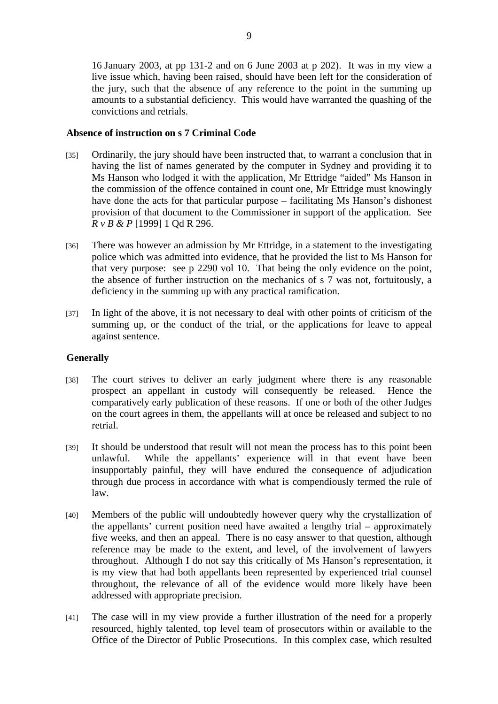16 January 2003, at pp 131-2 and on 6 June 2003 at p 202). It was in my view a live issue which, having been raised, should have been left for the consideration of the jury, such that the absence of any reference to the point in the summing up amounts to a substantial deficiency. This would have warranted the quashing of the convictions and retrials.

## **Absence of instruction on s 7 Criminal Code**

- [35] Ordinarily, the jury should have been instructed that, to warrant a conclusion that in having the list of names generated by the computer in Sydney and providing it to Ms Hanson who lodged it with the application, Mr Ettridge "aided" Ms Hanson in the commission of the offence contained in count one, Mr Ettridge must knowingly have done the acts for that particular purpose – facilitating Ms Hanson's dishonest provision of that document to the Commissioner in support of the application. See *R v B & P* [1999] 1 Qd R 296.
- [36] There was however an admission by Mr Ettridge, in a statement to the investigating police which was admitted into evidence, that he provided the list to Ms Hanson for that very purpose: see p 2290 vol 10. That being the only evidence on the point, the absence of further instruction on the mechanics of s 7 was not, fortuitously, a deficiency in the summing up with any practical ramification.
- [37] In light of the above, it is not necessary to deal with other points of criticism of the summing up, or the conduct of the trial, or the applications for leave to appeal against sentence.

## **Generally**

- [38] The court strives to deliver an early judgment where there is any reasonable prospect an appellant in custody will consequently be released. Hence the comparatively early publication of these reasons. If one or both of the other Judges on the court agrees in them, the appellants will at once be released and subject to no retrial.
- [39] It should be understood that result will not mean the process has to this point been unlawful. While the appellants' experience will in that event have been insupportably painful, they will have endured the consequence of adjudication through due process in accordance with what is compendiously termed the rule of law.
- [40] Members of the public will undoubtedly however query why the crystallization of the appellants' current position need have awaited a lengthy trial – approximately five weeks, and then an appeal. There is no easy answer to that question, although reference may be made to the extent, and level, of the involvement of lawyers throughout. Although I do not say this critically of Ms Hanson's representation, it is my view that had both appellants been represented by experienced trial counsel throughout, the relevance of all of the evidence would more likely have been addressed with appropriate precision.
- [41] The case will in my view provide a further illustration of the need for a properly resourced, highly talented, top level team of prosecutors within or available to the Office of the Director of Public Prosecutions. In this complex case, which resulted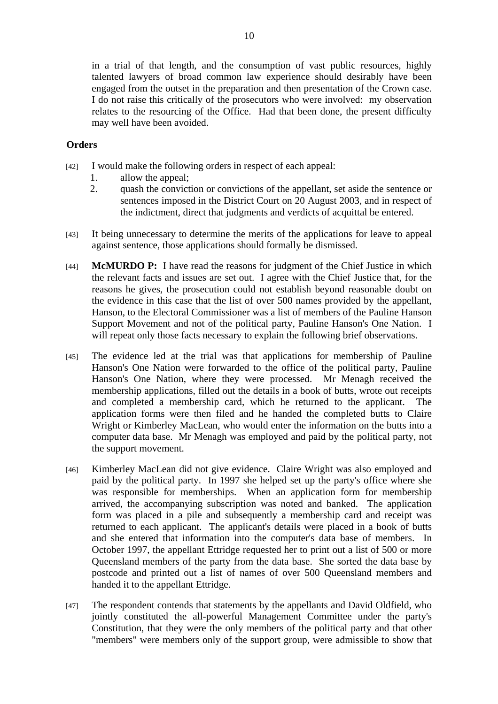in a trial of that length, and the consumption of vast public resources, highly talented lawyers of broad common law experience should desirably have been engaged from the outset in the preparation and then presentation of the Crown case. I do not raise this critically of the prosecutors who were involved: my observation relates to the resourcing of the Office. Had that been done, the present difficulty may well have been avoided.

## **Orders**

- [42] I would make the following orders in respect of each appeal:
	- 1. allow the appeal;
	- 2. quash the conviction or convictions of the appellant, set aside the sentence or sentences imposed in the District Court on 20 August 2003, and in respect of the indictment, direct that judgments and verdicts of acquittal be entered.
- [43] It being unnecessary to determine the merits of the applications for leave to appeal against sentence, those applications should formally be dismissed.
- [44] **McMURDO P:** I have read the reasons for judgment of the Chief Justice in which the relevant facts and issues are set out. I agree with the Chief Justice that, for the reasons he gives, the prosecution could not establish beyond reasonable doubt on the evidence in this case that the list of over 500 names provided by the appellant, Hanson, to the Electoral Commissioner was a list of members of the Pauline Hanson Support Movement and not of the political party, Pauline Hanson's One Nation. I will repeat only those facts necessary to explain the following brief observations.
- [45] The evidence led at the trial was that applications for membership of Pauline Hanson's One Nation were forwarded to the office of the political party, Pauline Hanson's One Nation, where they were processed. Mr Menagh received the membership applications, filled out the details in a book of butts, wrote out receipts and completed a membership card, which he returned to the applicant. The application forms were then filed and he handed the completed butts to Claire Wright or Kimberley MacLean, who would enter the information on the butts into a computer data base. Mr Menagh was employed and paid by the political party, not the support movement.
- [46] Kimberley MacLean did not give evidence. Claire Wright was also employed and paid by the political party. In 1997 she helped set up the party's office where she was responsible for memberships. When an application form for membership arrived, the accompanying subscription was noted and banked. The application form was placed in a pile and subsequently a membership card and receipt was returned to each applicant. The applicant's details were placed in a book of butts and she entered that information into the computer's data base of members. In October 1997, the appellant Ettridge requested her to print out a list of 500 or more Queensland members of the party from the data base. She sorted the data base by postcode and printed out a list of names of over 500 Queensland members and handed it to the appellant Ettridge.
- [47] The respondent contends that statements by the appellants and David Oldfield, who jointly constituted the all-powerful Management Committee under the party's Constitution, that they were the only members of the political party and that other "members" were members only of the support group, were admissible to show that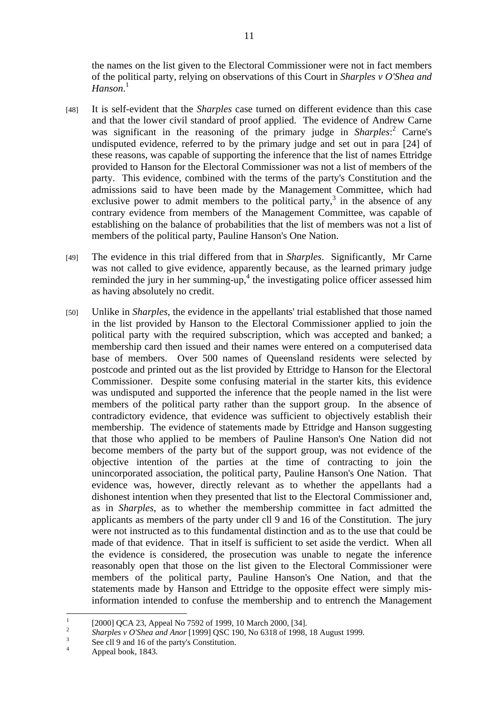the names on the list given to the Electoral Commissioner were not in fact members of the political party, relying on observations of this Court in *Sharples v O'Shea and Hanson*. 1

- [48] It is self-evident that the *Sharples* case turned on different evidence than this case and that the lower civil standard of proof applied. The evidence of Andrew Carne was significant in the reasoning of the primary judge in *Sharples*:<sup>2</sup> Carne's undisputed evidence, referred to by the primary judge and set out in pa[ra](#page-10-1) [24] of these reasons, was capable of supporting the inference that the list of names Ettridge provided to Hanson for the Electoral Commissioner was not a list of members of the party. This evidence, combined with the terms of the party's Constitution and the admissions said to have been made by the Management Committee, which had exclusive power to admit members to the political party, $3$  in the absence of any contrary evidence from members of the Management Co[mm](#page-10-2)ittee, was capable of establishing on the balance of probabilities that the list of members was not a list of members of the political party, Pauline Hanson's One Nation.
- [49] The evidence in this trial differed from that in *Sharples*.Significantly, Mr Carne was not called to give evidence, apparently because, as the learned primary judge remindedthe jury in her summing-up,<sup>4</sup> the investigating police officer assessed him as having absolutely no credit.
- [50] Unlike in *Sharples*, the evidence in the appellants' trial established that those named in the list provided by Hanson to the Electoral Commissioner applied to join the political party with the required subscription, which was accepted and banked; a membership card then issued and their names were entered on a computerised data base of members. Over 500 names of Queensland residents were selected by postcode and printed out as the list provided by Ettridge to Hanson for the Electoral Commissioner. Despite some confusing material in the starter kits, this evidence was undisputed and supported the inference that the people named in the list were members of the political party rather than the support group. In the absence of contradictory evidence, that evidence was sufficient to objectively establish their membership. The evidence of statements made by Ettridge and Hanson suggesting that those who applied to be members of Pauline Hanson's One Nation did not become members of the party but of the support group, was not evidence of the objective intention of the parties at the time of contracting to join the unincorporated association, the political party, Pauline Hanson's One Nation. That evidence was, however, directly relevant as to whether the appellants had a dishonest intention when they presented that list to the Electoral Commissioner and, as in *Sharples*, as to whether the membership committee in fact admitted the applicants as members of the party under cll 9 and 16 of the Constitution. The jury were not instructed as to this fundamental distinction and as to the use that could be made of that evidence. That in itself is sufficient to set aside the verdict. When all the evidence is considered, the prosecution was unable to negate the inference reasonably open that those on the list given to the Electoral Commissioner were members of the political party, Pauline Hanson's One Nation, and that the statements made by Hanson and Ettridge to the opposite effect were simply misinformation intended to confuse the membership and to entrench the Management

 $\frac{1}{1}$ [2000] QCA 23, Appeal No 7592 of 1999, 10 March 2000, [34].

<span id="page-10-1"></span><span id="page-10-0"></span><sup>2</sup> <sup>2</sup> Sharples *v O'Shea and Anor* [1999] QSC 190, No 6318 of 1998, 18 August 1999.

<span id="page-10-2"></span>See cll 9 and 16 of the party's Constitution.

<span id="page-10-3"></span><sup>4</sup> Appeal book, 1843.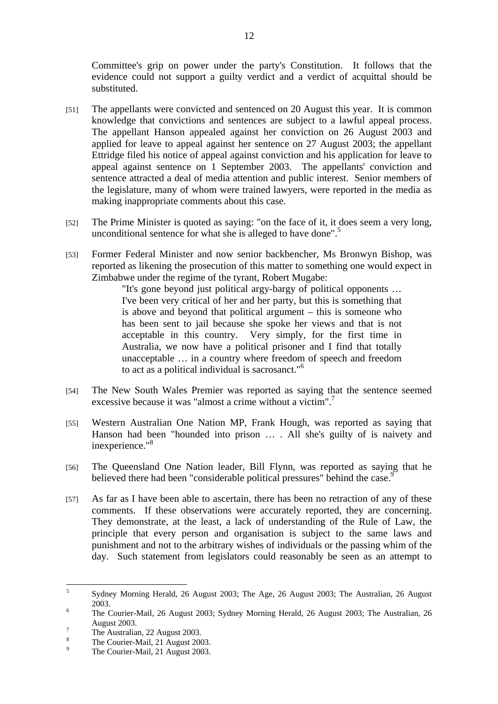Committee's grip on power under the party's Constitution. It follows that the evidence could not support a guilty verdict and a verdict of acquittal should be substituted.

- [51] The appellants were convicted and sentenced on 20 August this year. It is common knowledge that convictions and sentences are subject to a lawful appeal process. The appellant Hanson appealed against her conviction on 26 August 2003 and applied for leave to appeal against her sentence on 27 August 2003; the appellant Ettridge filed his notice of appeal against conviction and his application for leave to appeal against sentence on 1 September 2003. The appellants' conviction and sentence attracted a deal of media attention and public interest. Senior members of the legislature, many of whom were trained lawyers, were reported in the media as making inappropriate comments about this case.
- [52] The Prime Minister is quoted as saying: "on the face of it, it does seem a very long, unconditional sentence for what she is alleged to have done".<sup>5</sup>
- [53] Former Federal Minister and now senior backbencher, Ms Bronwyn Bishop, was reported as likening the prosecution of this matter to something one would expect in Zimbabwe under the regime of the tyrant, Robert Mugabe:

"It's gone beyond just political argy-bargy of political opponents … I've been very critical of her and her party, but this is something that is above and beyond that political argument – this is someone who has been sent to jail because she spoke her views and that is not acceptable in this country. Very simply, for the first time in Australia, we now have a political prisoner and I find that totally unacceptable … in a country where freedom of speech and freedom to act as a political individual is sacrosanct.["6](#page-11-1)

- [54] The New South Wales Premier was reported as saying that the sentence seemed excessive because it was "almost a crime without a victim"[.](#page-11-2)<sup>7</sup>
- [55] Western Australian One Nation MP, Frank Hough, was reported as saying that Hanson had been "hounded into prison … . All she's guilty of is naivety and inexperience."<sup>8</sup>
- [56] The Queensland One Nation leader, Bill Flynn, was reported as saying that he believed there had been "considerable political pressures" behind the case.<sup>9</sup>
- [57] As far as I have been able to ascertain, there has been no retraction of any of these comments. If these observations were accurately reported, they are concerning. They demonstrate, at the least, a lack of understanding of the Rule of Law, the principle that every person and organisation is subject to the same laws and punishment and not to the arbitrary wishes of individuals or the passing whim of the day. Such statement from legislators could reasonably be seen as an attempt to

<span id="page-11-0"></span> $\frac{1}{5}$  Sydney Morning Herald, 26 August 2003; The Age, 26 August 2003; The Australian, 26 August  $2003.$ 

<span id="page-11-1"></span>The Courier-Mail, 26 August 2003; Sydney Morning Herald, 26 August 2003; The Australian, 26 August 2003.

<span id="page-11-2"></span>The Australian, 22 August 2003. 8

<span id="page-11-3"></span>The Courier-Mail, 21 August 2003.  $\alpha$ 

<span id="page-11-4"></span>The Courier-Mail, 21 August 2003.